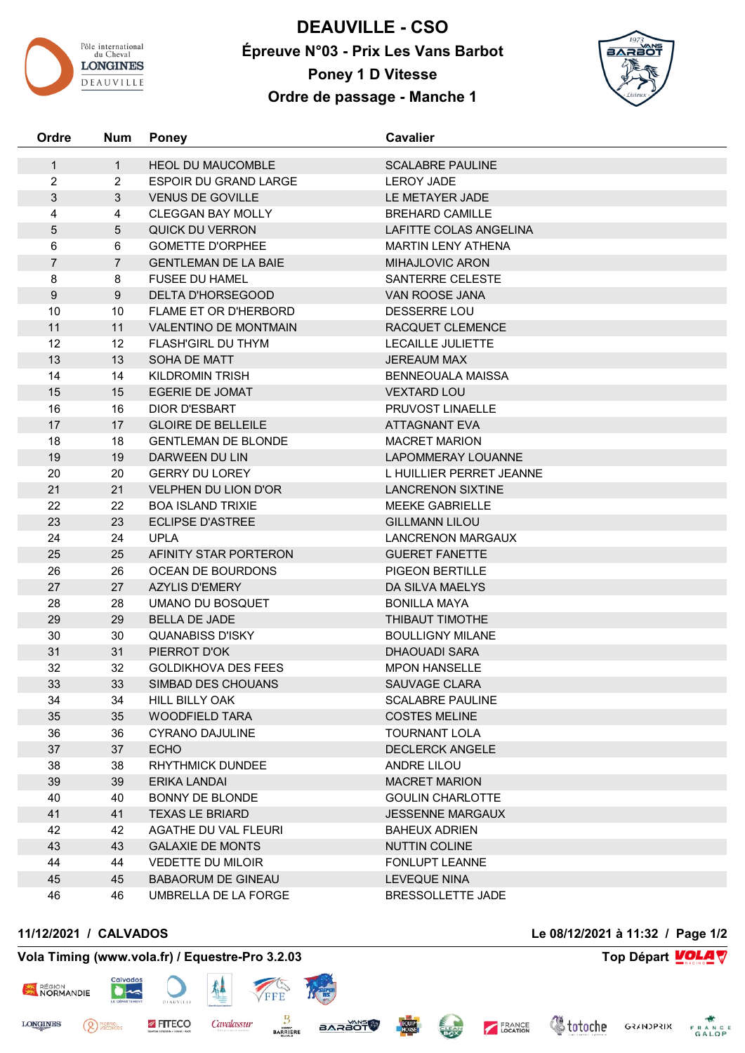

**DEAUVILLE - CSO Épreuve N°03 - Prix Les Vans Barbot Poney 1 D Vitesse Ordre de passage - Manche 1**



| Ordre          | <b>Num</b>     | <b>Poney</b>                 | <b>Cavalier</b>           |
|----------------|----------------|------------------------------|---------------------------|
| $\mathbf 1$    | $\mathbf{1}$   | <b>HEOL DU MAUCOMBLE</b>     | <b>SCALABRE PAULINE</b>   |
| 2              | $\overline{2}$ | <b>ESPOIR DU GRAND LARGE</b> | <b>LEROY JADE</b>         |
| $\mathfrak{S}$ | 3              | <b>VENUS DE GOVILLE</b>      | LE METAYER JADE           |
| 4              | 4              | <b>CLEGGAN BAY MOLLY</b>     | <b>BREHARD CAMILLE</b>    |
| 5              | $\sqrt{5}$     | <b>QUICK DU VERRON</b>       | LAFITTE COLAS ANGELINA    |
| $\,6\,$        | 6              | <b>GOMETTE D'ORPHEE</b>      | <b>MARTIN LENY ATHENA</b> |
| $\overline{7}$ | $\overline{7}$ | <b>GENTLEMAN DE LA BAIE</b>  | MIHAJLOVIC ARON           |
| 8              | 8              | <b>FUSEE DU HAMEL</b>        | SANTERRE CELESTE          |
| $9\,$          | $9\,$          | <b>DELTA D'HORSEGOOD</b>     | VAN ROOSE JANA            |
| 10             | 10             | <b>FLAME ET OR D'HERBORD</b> | <b>DESSERRE LOU</b>       |
| 11             | 11             | <b>VALENTINO DE MONTMAIN</b> | RACQUET CLEMENCE          |
| 12             | 12             | FLASH'GIRL DU THYM           | <b>LECAILLE JULIETTE</b>  |
| 13             | 13             | SOHA DE MATT                 | <b>JEREAUM MAX</b>        |
| 14             | 14             | <b>KILDROMIN TRISH</b>       | <b>BENNEOUALA MAISSA</b>  |
| 15             | 15             | <b>EGERIE DE JOMAT</b>       | <b>VEXTARD LOU</b>        |
| 16             | 16             | DIOR D'ESBART                | PRUVOST LINAELLE          |
| 17             | 17             | <b>GLOIRE DE BELLEILE</b>    | <b>ATTAGNANT EVA</b>      |
| 18             | 18             | <b>GENTLEMAN DE BLONDE</b>   | <b>MACRET MARION</b>      |
| 19             | 19             | <b>DARWEEN DU LIN</b>        | <b>LAPOMMERAY LOUANNE</b> |
| 20             | 20             | <b>GERRY DU LOREY</b>        | L HUILLIER PERRET JEANNE  |
| 21             | 21             | <b>VELPHEN DU LION D'OR</b>  | <b>LANCRENON SIXTINE</b>  |
| 22             | 22             | <b>BOA ISLAND TRIXIE</b>     | MEEKE GABRIELLE           |
| 23             | 23             | <b>ECLIPSE D'ASTREE</b>      | <b>GILLMANN LILOU</b>     |
| 24             | 24             | <b>UPLA</b>                  | <b>LANCRENON MARGAUX</b>  |
| 25             | 25             | AFINITY STAR PORTERON        | <b>GUERET FANETTE</b>     |
| 26             | 26             | OCEAN DE BOURDONS            | <b>PIGEON BERTILLE</b>    |
| 27             | 27             | <b>AZYLIS D'EMERY</b>        | DA SILVA MAELYS           |
| 28             | 28             | UMANO DU BOSQUET             | <b>BONILLA MAYA</b>       |
| 29             | 29             | <b>BELLA DE JADE</b>         | THIBAUT TIMOTHE           |
| 30             | 30             | <b>QUANABISS D'ISKY</b>      | <b>BOULLIGNY MILANE</b>   |
| 31             | 31             | PIERROT D'OK                 | <b>DHAOUADI SARA</b>      |
| 32             | 32             | <b>GOLDIKHOVA DES FEES</b>   | <b>MPON HANSELLE</b>      |
| 33             | 33             | SIMBAD DES CHOUANS           | <b>SAUVAGE CLARA</b>      |
| 34             | 34             | HILL BILLY OAK               | <b>SCALABRE PAULINE</b>   |
| 35             | 35             | <b>WOODFIELD TARA</b>        | <b>COSTES MELINE</b>      |
| 36             | 36             | CYRANO DAJULINE              | TOURNANT LOLA             |
| 37             | 37             | <b>ECHO</b>                  | <b>DECLERCK ANGELE</b>    |
| 38             | 38             | <b>RHYTHMICK DUNDEE</b>      | ANDRE LILOU               |
| 39             | 39             | ERIKA LANDAI                 | <b>MACRET MARION</b>      |
| 40             | 40             | <b>BONNY DE BLONDE</b>       | <b>GOULIN CHARLOTTE</b>   |
| 41             | 41             | <b>TEXAS LE BRIARD</b>       | <b>JESSENNE MARGAUX</b>   |
| 42             | 42             | AGATHE DU VAL FLEURI         | <b>BAHEUX ADRIEN</b>      |
| 43             | 43             | <b>GALAXIE DE MONTS</b>      | NUTTIN COLINE             |
| 44             | 44             | <b>VEDETTE DU MILOIR</b>     | FONLUPT LEANNE            |
| 45             | 45             | <b>BABAORUM DE GINEAU</b>    | <b>LEVEQUE NINA</b>       |
| 46             | 46             | UMBRELLA DE LA FORGE         | BRESSOLLETTE JADE         |

(<sup>2</sup>) PIERRE<sub>S</sub>

## **Vola Timing (www.vola.fr) / Equestre-Pro 3.2.03 Top Départ VOLA**

**FITECO** 

 $\bullet$ 

犁

Cavalassur

FFF

Β

**BARRIERE** 

**BARAOT** 

RÉGION<br>NORMANDIE

**LONGINES** 





FRANCE

**CHEAN**